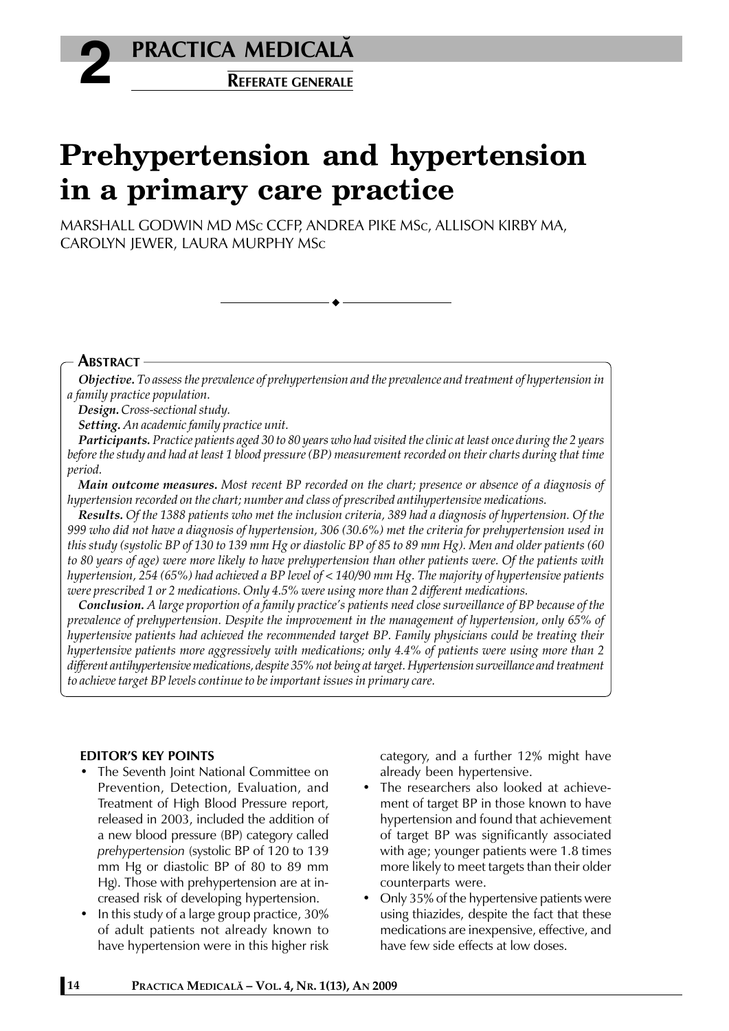

# **Prehypertension and hypertension in a primary care practice**

MARSHALL GODWIN MD MSc CCFP, ANDREA PIKE MSc, ALLISON KIRBY MA, CAROLYN JEWER, LAURA MURPHY MSc

# **ABSTRACT**

*Objective. To assess the prevalence of prehypertension and the prevalence and treatment of hypertension in a family practice population.*

*Design. Cross-sectional study.*

*Setting. An academic family practice unit.*

*Participants. Practice patients aged 30 to 80 years who had visited the clinic at least once during the 2 years before the study and had at least 1 blood pressure (BP) measurement recorded on their charts during that time period.*

*Main outcome measures. Most recent BP recorded on the chart; presence or absence of a diagnosis of hypertension recorded on the chart; number and class of prescribed antihypertensive medications.*

*Results. Of the 1388 patients who met the inclusion criteria, 389 had a diagnosis of hypertension. Of the 999 who did not have a diagnosis of hypertension, 306 (30.6%) met the criteria for prehypertension used in this study (systolic BP of 130 to 139 mm Hg or diastolic BP of 85 to 89 mm Hg). Men and older patients (60 to 80 years of age) were more likely to have prehypertension than other patients were. Of the patients with hypertension, 254 (65%) had achieved a BP level of < 140/90 mm Hg. The majority of hypertensive patients were prescribed 1 or 2 medications. Only 4.5% were using more than 2 different medications.*

*Conclusion. A large proportion of a family practice's patients need close surveillance of BP because of the prevalence of prehypertension. Despite the improvement in the management of hypertension, only 65% of hypertensive patients had achieved the recommended target BP. Family physicians could be treating their hypertensive patients more aggressively with medications; only 4.4% of patients were using more than 2 different antihypertensive medications, despite 35% not being at target. Hypertension surveillance and treatment to achieve target BP levels continue to be important issues in primary care.*

# **EDITOR'S KEY POINTS**

- The Seventh Joint National Committee on Prevention, Detection, Evaluation, and Treatment of High Blood Pressure report, released in 2003, included the addition of a new blood pressure (BP) category called *prehypertension* (systolic BP of 120 to 139 mm Hg or diastolic BP of 80 to 89 mm Hg). Those with prehypertension are at increased risk of developing hypertension.
- In this study of a large group practice, 30% of adult patients not already known to have hypertension were in this higher risk

category, and a further 12% might have already been hypertensive.

- The researchers also looked at achievement of target BP in those known to have hypertension and found that achievement of target BP was significantly associated with age; younger patients were 1.8 times more likely to meet targets than their older counterparts were.
- Only 35% of the hypertensive patients were using thiazides, despite the fact that these medications are inexpensive, effective, and have few side effects at low doses.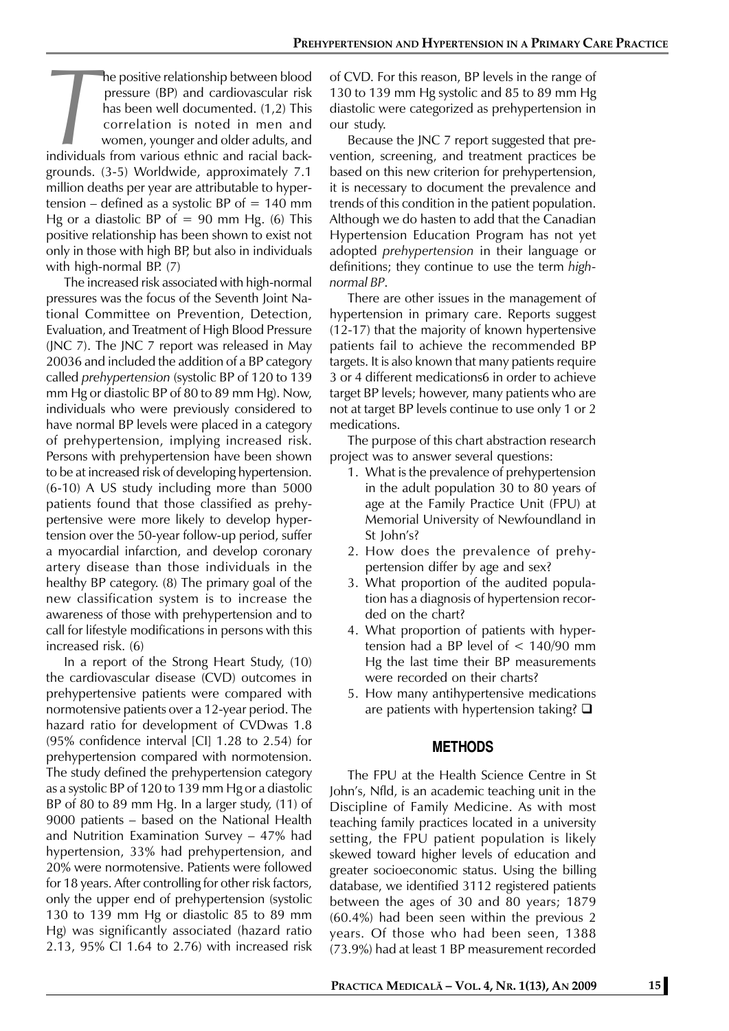**The positive relationship between blood**<br>pressure (BP) and cardiovascular risk<br>has been well documented. (1,2) This<br>correlation is noted in men and<br>women, younger and older adults, and<br>individuals from various ethnic and pressure (BP) and cardiovascular risk has been well documented. (1,2) This correlation is noted in men and women, younger and older adults, and individuals from various ethnic and racial backgrounds. (3-5) Worldwide, approximately 7.1 million deaths per year are attributable to hypertension – defined as a systolic BP of  $= 140$  mm Hg or a diastolic BP of  $= 90$  mm Hg. (6) This positive relationship has been shown to exist not only in those with high BP, but also in individuals with high-normal BP. (7)

The increased risk associated with high-normal pressures was the focus of the Seventh Joint National Committee on Prevention, Detection, Evaluation, and Treatment of High Blood Pressure (JNC 7). The JNC 7 report was released in May 20036 and included the addition of a BP category called *prehypertension* (systolic BP of 120 to 139 mm Hg or diastolic BP of 80 to 89 mm Hg). Now, individuals who were previously considered to have normal BP levels were placed in a category of prehypertension, implying increased risk. Persons with prehypertension have been shown to be at increased risk of developing hypertension. (6-10) A US study including more than 5000 patients found that those classified as prehypertensive were more likely to develop hypertension over the 50-year follow-up period, suffer a myocardial infarction, and develop coronary artery disease than those individuals in the healthy BP category. (8) The primary goal of the new classification system is to increase the awareness of those with prehypertension and to call for lifestyle modifications in persons with this increased risk. (6)

In a report of the Strong Heart Study, (10) the cardiovascular disease (CVD) outcomes in prehypertensive patients were compared with normotensive patients over a 12-year period. The hazard ratio for development of CVDwas 1.8 (95% confidence interval [CI] 1.28 to 2.54) for prehypertension compared with normotension. The study defined the prehypertension category as a systolic BP of 120 to 139 mm Hg or a diastolic BP of 80 to 89 mm Hg. In a larger study, (11) of 9000 patients – based on the National Health and Nutrition Examination Survey – 47% had hypertension, 33% had prehypertension, and 20% were normotensive. Patients were followed for 18 years. After controlling for other risk factors, only the upper end of prehypertension (systolic 130 to 139 mm Hg or diastolic 85 to 89 mm Hg) was significantly associated (hazard ratio 2.13, 95% CI 1.64 to 2.76) with increased risk

of CVD. For this reason, BP levels in the range of 130 to 139 mm Hg systolic and 85 to 89 mm Hg diastolic were categorized as prehypertension in our study.

Because the JNC 7 report suggested that prevention, screening, and treatment practices be based on this new criterion for prehypertension, it is necessary to document the prevalence and trends of this condition in the patient population. Although we do hasten to add that the Canadian Hypertension Education Program has not yet adopted *prehypertension* in their language or definitions; they continue to use the term *highnormal BP*.

There are other issues in the management of hypertension in primary care. Reports suggest (12-17) that the majority of known hypertensive patients fail to achieve the recommended BP targets. It is also known that many patients require 3 or 4 different medications6 in order to achieve target BP levels; however, many patients who are not at target BP levels continue to use only 1 or 2 medications.

The purpose of this chart abstraction research project was to answer several questions:

- 1. What is the prevalence of prehypertension in the adult population 30 to 80 years of age at the Family Practice Unit (FPU) at Memorial University of Newfoundland in St John's?
- 2. How does the prevalence of prehypertension differ by age and sex?
- 3. What proportion of the audited population has a diagnosis of hypertension recorded on the chart?
- 4. What proportion of patients with hypertension had a BP level of < 140/90 mm Hg the last time their BP measurements were recorded on their charts?
- 5. How many antihypertensive medications are patients with hypertension taking?  $\square$

#### **METHODS**

The FPU at the Health Science Centre in St John's, Nfld, is an academic teaching unit in the Discipline of Family Medicine. As with most teaching family practices located in a university setting, the FPU patient population is likely skewed toward higher levels of education and greater socioeconomic status. Using the billing database, we identified 3112 registered patients between the ages of 30 and 80 years; 1879 (60.4%) had been seen within the previous 2 years. Of those who had been seen, 1388 (73.9%) had at least 1 BP measurement recorded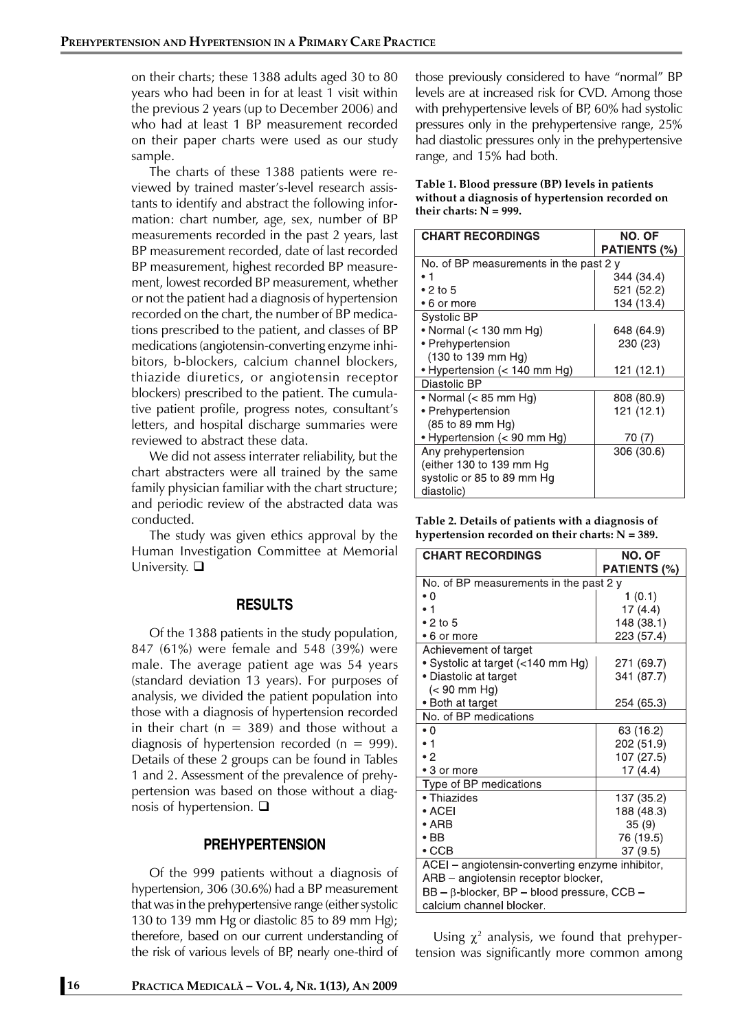on their charts; these 1388 adults aged 30 to 80 years who had been in for at least 1 visit within the previous 2 years (up to December 2006) and who had at least 1 BP measurement recorded on their paper charts were used as our study sample.

The charts of these 1388 patients were reviewed by trained master's-level research assistants to identify and abstract the following information: chart number, age, sex, number of BP measurements recorded in the past 2 years, last BP measurement recorded, date of last recorded BP measurement, highest recorded BP measurement, lowest recorded BP measurement, whether or not the patient had a diagnosis of hypertension recorded on the chart, the number of BP medications prescribed to the patient, and classes of BP medications (angiotensin-converting enzyme inhibitors, b-blockers, calcium channel blockers, thiazide diuretics, or angiotensin receptor blockers) prescribed to the patient. The cumulative patient profile, progress notes, consultant's letters, and hospital discharge summaries were reviewed to abstract these data.

We did not assess interrater reliability, but the chart abstracters were all trained by the same family physician familiar with the chart structure; and periodic review of the abstracted data was conducted.

The study was given ethics approval by the Human Investigation Committee at Memorial University.  $\square$ 

# **RESULTS**

Of the 1388 patients in the study population, 847 (61%) were female and 548 (39%) were male. The average patient age was 54 years (standard deviation 13 years). For purposes of analysis, we divided the patient population into those with a diagnosis of hypertension recorded in their chart ( $n = 389$ ) and those without a diagnosis of hypertension recorded ( $n = 999$ ). Details of these 2 groups can be found in Tables 1 and 2. Assessment of the prevalence of prehypertension was based on those without a diagnosis of hypertension.  $\square$ 

### **PREHYPERTENSION**

Of the 999 patients without a diagnosis of hypertension, 306 (30.6%) had a BP measurement that was in the prehypertensive range (either systolic 130 to 139 mm Hg or diastolic 85 to 89 mm Hg); therefore, based on our current understanding of the risk of various levels of BP, nearly one-third of

those previously considered to have "normal" BP levels are at increased risk for CVD. Among those with prehypertensive levels of BP, 60% had systolic pressures only in the prehypertensive range, 25% had diastolic pressures only in the prehypertensive range, and 15% had both.

#### **Table 1. Blood pressure (BP) levels in patients without a diagnosis of hypertension recorded on their charts: N = 999.**

| <b>CHART RECORDINGS</b>               | NO. OF              |  |
|---------------------------------------|---------------------|--|
|                                       | <b>PATIENTS (%)</b> |  |
| No of BP measurements in the past 2 y |                     |  |
|                                       | 344 (34.4)          |  |
| $\bullet$ 2 to 5                      | 521 (52.2)          |  |
| • 6 or more                           | 134 (13.4)          |  |
| Systolic BP                           |                     |  |
| • Normal $(< 130$ mm Hg)              | 648 (64.9)          |  |
| • Prehypertension                     | 230 (23)            |  |
| (130 to 139 mm Hg)                    |                     |  |
| • Hypertension (< 140 mm Hg)          | 121 (12.1)          |  |
| Diastolic BP                          |                     |  |
| • Normal (< 85 mm Hg)                 | 808 (80.9)          |  |
| • Prehypertension                     | 121 (12.1)          |  |
| (85 to 89 mm Hg)                      |                     |  |
| • Hypertension (< 90 mm Hg)           | 70 (7)              |  |
| Any prehypertension                   | 306 (30.6)          |  |
| (either 130 to 139 mm Hg              |                     |  |
| systolic or 85 to 89 mm Hq            |                     |  |
| diastolic)                            |                     |  |

| Table 2. Details of patients with a diagnosis of   |
|----------------------------------------------------|
| hypertension recorded on their charts: $N = 389$ . |

| <b>CHART RECORDINGS</b>                           | NO. OF       |  |
|---------------------------------------------------|--------------|--|
|                                                   | PATIENTS (%) |  |
| No. of BP measurements in the past 2 y            |              |  |
| • 0                                               | 1(0.1)       |  |
| • 1                                               | 17(4.4)      |  |
| $\bullet$ 2 to 5                                  | 148 (38.1)   |  |
| • 6 or more                                       | 223 (57.4)   |  |
| Achievement of target                             |              |  |
| • Systolic at target (<140 mm Hg)                 | 271 (69.7)   |  |
| • Diastolic at target                             | 341 (87.7)   |  |
| $(< 90$ mm Hg)                                    |              |  |
| · Both at target                                  | 254 (65.3)   |  |
| No. of BP medications                             |              |  |
| $\cdot 0$                                         | 63 (16.2)    |  |
| $\mathbf{1}$                                      | 202 (51.9)   |  |
| $\cdot$ 2                                         | 107 (27.5)   |  |
| • 3 or more                                       | 17(4.4)      |  |
| Type of BP medications                            |              |  |
| • Thiazides                                       | 137 (35.2)   |  |
| $\bullet$ ACEI                                    | 188 (48.3)   |  |
| $\bullet$ ARB                                     | 35(9)        |  |
| $\bullet$ BB                                      | 76 (19.5)    |  |
| $\cdot$ CCB                                       | 37 (9.5)     |  |
| ACEI - angiotensin-converting enzyme inhibitor,   |              |  |
| ARB - angiotensin receptor blocker,               |              |  |
| $BB - \beta$ -blocker, BP – blood pressure, CCB – |              |  |
| calcium channel blocker.                          |              |  |

Using  $\chi^2$  analysis, we found that prehypertension was significantly more common among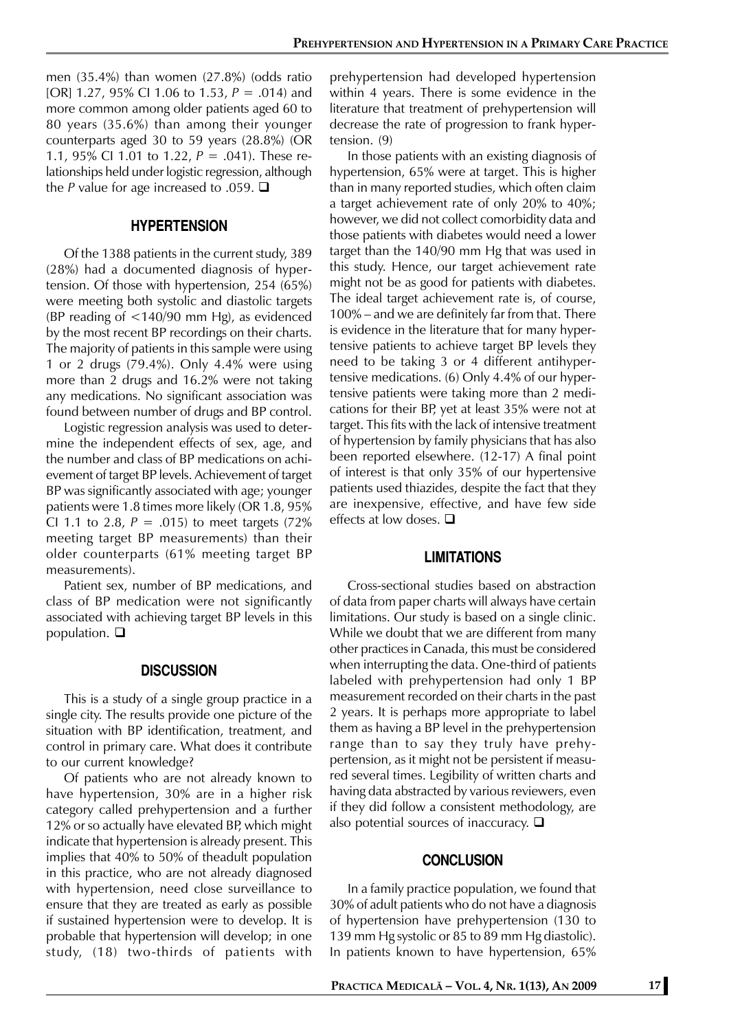men (35.4%) than women (27.8%) (odds ratio [OR] 1.27, 95% CI 1.06 to 1.53, *P* = .014) and more common among older patients aged 60 to 80 years (35.6%) than among their younger counterparts aged 30 to 59 years (28.8%) (OR 1.1, 95% CI 1.01 to 1.22, *P* = .041). These relationships held under logistic regression, although the *P* value for age increased to .059.  $\Box$ 

#### **HYPERTENSION**

Of the 1388 patients in the current study, 389 (28%) had a documented diagnosis of hypertension. Of those with hypertension, 254 (65%) were meeting both systolic and diastolic targets (BP reading of <140/90 mm Hg), as evidenced by the most recent BP recordings on their charts. The majority of patients in this sample were using 1 or 2 drugs (79.4%). Only 4.4% were using more than 2 drugs and 16.2% were not taking any medications. No significant association was found between number of drugs and BP control.

Logistic regression analysis was used to determine the independent effects of sex, age, and the number and class of BP medications on achievement of target BP levels. Achievement of target BP was significantly associated with age; younger patients were 1.8 times more likely (OR 1.8, 95% CI 1.1 to 2.8,  $P = .015$ ) to meet targets (72%) meeting target BP measurements) than their older counterparts (61% meeting target BP measurements).

Patient sex, number of BP medications, and class of BP medication were not significantly associated with achieving target BP levels in this population.  $\Box$ 

#### **DISCUSSION**

This is a study of a single group practice in a single city. The results provide one picture of the situation with BP identification, treatment, and control in primary care. What does it contribute to our current knowledge?

Of patients who are not already known to have hypertension, 30% are in a higher risk category called prehypertension and a further 12% or so actually have elevated BP, which might indicate that hypertension is already present. This implies that 40% to 50% of theadult population in this practice, who are not already diagnosed with hypertension, need close surveillance to ensure that they are treated as early as possible if sustained hypertension were to develop. It is probable that hypertension will develop; in one study, (18) two-thirds of patients with prehypertension had developed hypertension within 4 years. There is some evidence in the literature that treatment of prehypertension will decrease the rate of progression to frank hypertension. (9)

In those patients with an existing diagnosis of hypertension, 65% were at target. This is higher than in many reported studies, which often claim a target achievement rate of only 20% to 40%; however, we did not collect comorbidity data and those patients with diabetes would need a lower target than the 140/90 mm Hg that was used in this study. Hence, our target achievement rate might not be as good for patients with diabetes. The ideal target achievement rate is, of course, 100% – and we are definitely far from that. There is evidence in the literature that for many hypertensive patients to achieve target BP levels they need to be taking 3 or 4 different antihypertensive medications. (6) Only 4.4% of our hypertensive patients were taking more than 2 medications for their BP, yet at least 35% were not at target. This fits with the lack of intensive treatment of hypertension by family physicians that has also been reported elsewhere. (12-17) A final point of interest is that only 35% of our hypertensive patients used thiazides, despite the fact that they are inexpensive, effective, and have few side effects at low doses.  $\Box$ 

#### **LIMITATIONS**

Cross-sectional studies based on abstraction of data from paper charts will always have certain limitations. Our study is based on a single clinic. While we doubt that we are different from many other practices in Canada, this must be considered when interrupting the data. One-third of patients labeled with prehypertension had only 1 BP measurement recorded on their charts in the past 2 years. It is perhaps more appropriate to label them as having a BP level in the prehypertension range than to say they truly have prehypertension, as it might not be persistent if measured several times. Legibility of written charts and having data abstracted by various reviewers, even if they did follow a consistent methodology, are also potential sources of inaccuracy.  $\square$ 

#### **CONCLUSION**

In a family practice population, we found that 30% of adult patients who do not have a diagnosis of hypertension have prehypertension (130 to 139 mm Hg systolic or 85 to 89 mm Hg diastolic). In patients known to have hypertension, 65%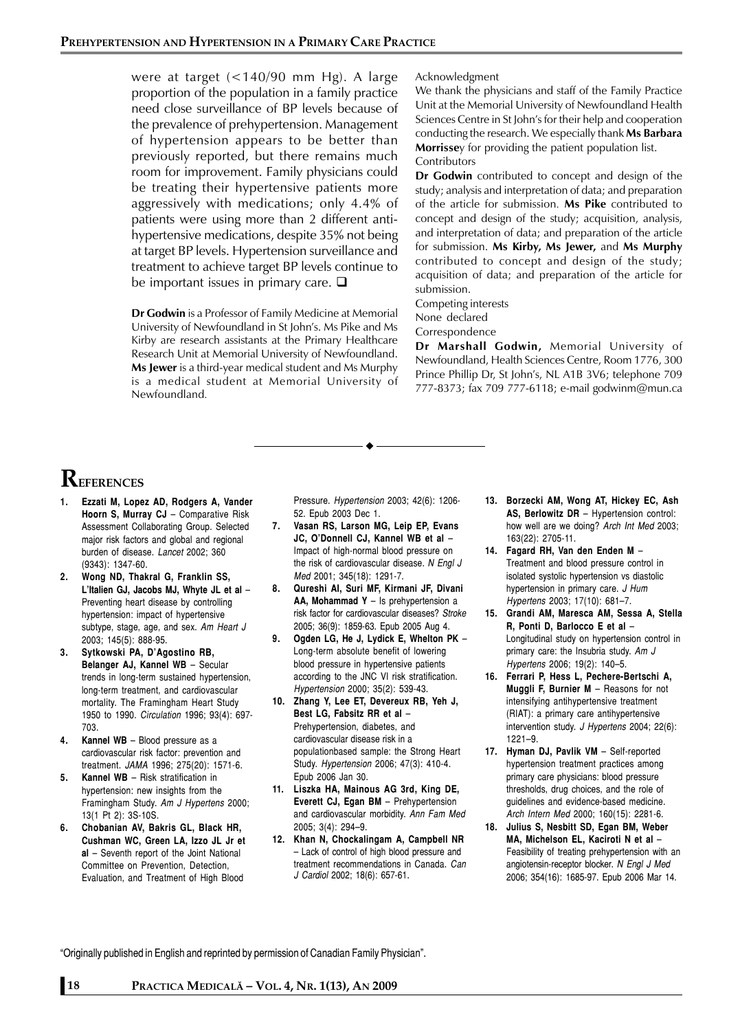were at target (<140/90 mm Hg). A large proportion of the population in a family practice need close surveillance of BP levels because of the prevalence of prehypertension. Management of hypertension appears to be better than previously reported, but there remains much room for improvement. Family physicians could be treating their hypertensive patients more aggressively with medications; only 4.4% of patients were using more than 2 different antihypertensive medications, despite 35% not being at target BP levels. Hypertension surveillance and treatment to achieve target BP levels continue to be important issues in primary care.  $\square$ 

**Dr Godwin** is a Professor of Family Medicine at Memorial University of Newfoundland in St John's. Ms Pike and Ms Kirby are research assistants at the Primary Healthcare Research Unit at Memorial University of Newfoundland. **Ms Jewer** is a third-year medical student and Ms Murphy is a medical student at Memorial University of Newfoundland*.*

#### Acknowledgment

We thank the physicians and staff of the Family Practice Unit at the Memorial University of Newfoundland Health Sciences Centre in St John's for their help and cooperation conducting the research. We especially thank **Ms Barbara Morrisse**y for providing the patient population list. **Contributors** 

**Dr Godwin** contributed to concept and design of the study; analysis and interpretation of data; and preparation of the article for submission*.* **Ms Pike** contributed to concept and design of the study; acquisition, analysis, and interpretation of data; and preparation of the article for submission. **Ms Kirby, Ms Jewer,** and **Ms Murphy** contributed to concept and design of the study; acquisition of data; and preparation of the article for submission.

Competing interests None declared

Correspondence

**Dr Marshall Godwin,** Memorial University of Newfoundland, Health Sciences Centre, Room 1776, 300 Prince Phillip Dr, St John's, NL A1B 3V6; telephone 709 777-8373; fax 709 777-6118; e-mail godwinm@mun.ca

# **REFERENCES**

- **1. Ezzati M, Lopez AD, Rodgers A, Vander Hoorn S, Murray CJ** – Comparative Risk Assessment Collaborating Group. Selected major risk factors and global and regional burden of disease. *Lancet* 2002; 360 (9343): 1347-60.
- **2. Wong ND, Thakral G, Franklin SS, L'Italien GJ, Jacobs MJ, Whyte JL et al** – Preventing heart disease by controlling hypertension: impact of hypertensive subtype, stage, age, and sex. *Am Heart J* 2003; 145(5): 888-95.
- **3. Sytkowski PA, D'Agostino RB, Belanger AJ, Kannel WB** – Secular trends in long-term sustained hypertension, long-term treatment, and cardiovascular mortality. The Framingham Heart Study 1950 to 1990. *Circulation* 1996; 93(4): 697- 703.
- **4. Kannel WB** Blood pressure as a cardiovascular risk factor: prevention and treatment. *JAMA* 1996; 275(20): 1571-6.
- **5. Kannel WB** Risk stratification in hypertension: new insights from the Framingham Study. *Am J Hypertens* 2000; 13(1 Pt 2): 3S-10S.
- **6. Chobanian AV, Bakris GL, Black HR, Cushman WC, Green LA, Izzo JL Jr et al** – Seventh report of the Joint National Committee on Prevention, Detection, Evaluation, and Treatment of High Blood

Pressure. *Hypertension* 2003; 42(6): 1206- 52. Epub 2003 Dec 1.

- **7. Vasan RS, Larson MG, Leip EP, Evans JC, O'Donnell CJ, Kannel WB et al** – Impact of high-normal blood pressure on the risk of cardiovascular disease. *N Engl J Med* 2001; 345(18): 1291-7.
- **8. Qureshi AI, Suri MF, Kirmani JF, Divani AA, Mohammad Y** – Is prehypertension a risk factor for cardiovascular diseases? *Stroke* 2005; 36(9): 1859-63. Epub 2005 Aug 4.
- **9. Ogden LG, He J, Lydick E, Whelton PK** Long-term absolute benefit of lowering blood pressure in hypertensive patients according to the JNC VI risk stratification. *Hypertension* 2000; 35(2): 539-43.
- **10. Zhang Y, Lee ET, Devereux RB, Yeh J, Best LG, Fabsitz RR et al** – Prehypertension, diabetes, and cardiovascular disease risk in a populationbased sample: the Strong Heart Study. *Hypertension* 2006; 47(3): 410-4. Epub 2006 Jan 30.
- **11. Liszka HA, Mainous AG 3rd, King DE, Everett CJ, Egan BM** – Prehypertension and cardiovascular morbidity. *Ann Fam Med* 2005; 3(4): 294–9.
- **12. Khan N, Chockalingam A, Campbell NR** – Lack of control of high blood pressure and treatment recommendations in Canada. *Can J Cardiol* 2002; 18(6): 657-61.
- **13. Borzecki AM, Wong AT, Hickey EC, Ash AS, Berlowitz DR** – Hypertension control: how well are we doing? *Arch Int Med* 2003; 163(22): 2705-11.
- **14. Fagard RH, Van den Enden M** Treatment and blood pressure control in isolated systolic hypertension vs diastolic hypertension in primary care. *J Hum Hypertens* 2003; 17(10): 681–7.
- **15. Grandi AM, Maresca AM, Sessa A, Stella R, Ponti D, Barlocco E et al** – Longitudinal study on hypertension control in primary care: the Insubria study. *Am J Hypertens* 2006; 19(2): 140–5.
- **16. Ferrari P, Hess L, Pechere-Bertschi A, Muggli F, Burnier M** – Reasons for not intensifying antihypertensive treatment (RIAT): a primary care antihypertensive intervention study. *J Hypertens* 2004; 22(6): 1221–9.
- **17. Hyman DJ, Pavlik VM** Self-reported hypertension treatment practices among primary care physicians: blood pressure thresholds, drug choices, and the role of guidelines and evidence-based medicine. *Arch Intern Med* 2000; 160(15): 2281-6.
- **18. Julius S, Nesbitt SD, Egan BM, Weber MA, Michelson EL, Kaciroti N et al** – Feasibility of treating prehypertension with an angiotensin-receptor blocker. *N Engl J Med* 2006; 354(16): 1685-97. Epub 2006 Mar 14.

"Originally published in English and reprinted by permission of Canadian Family Physician".